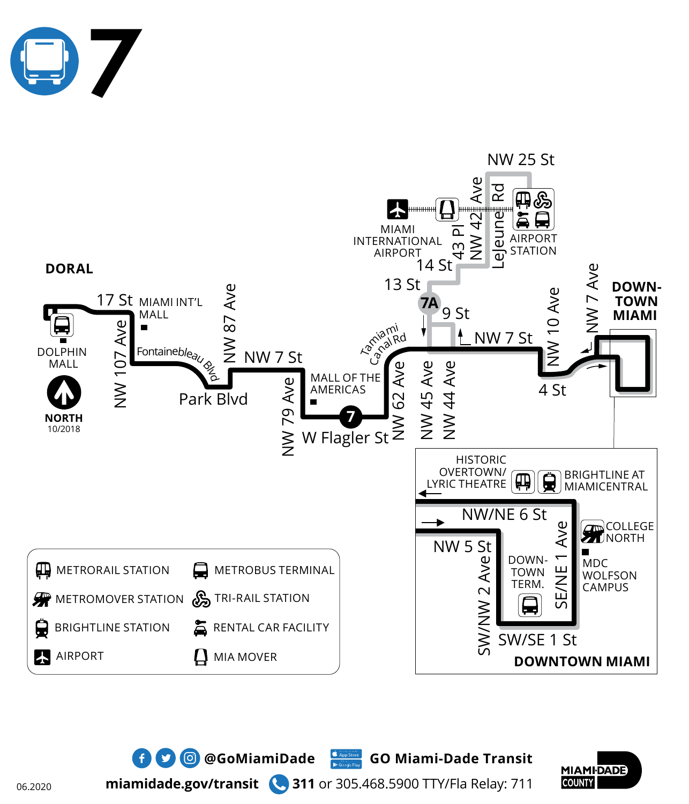





**miamidade.gov/transit 311** or 305.468.5900 TTY/Fla Relay: 711

 $\bullet$  **0 @GoMiamiDade** GO Miami-Dade Transit

06.2020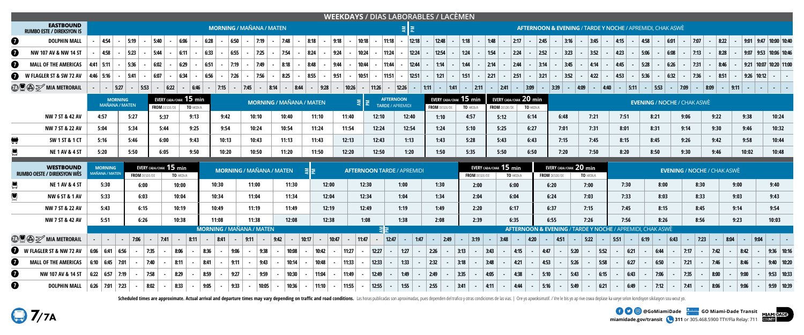**miamidade.gov/transit 311** or 305.468.5900 TTY/Fla Relay: 711







| <b>WEEKDAYS / DIAS LABORABLES / LACÈMEN</b><br><b>EASTBOUND</b> |  |                                  |                                         |               |            |                                                                            |              |       |                                         |                                 |                           |        |       |          |       |                                   |                                                                 |                     |            |                                         |                   |                      |          |                                                                |                                                                      |                      |                    |                                                                      |                 |                         |            |      |                                    |        |      |              |       |                                |              |  |
|-----------------------------------------------------------------|--|----------------------------------|-----------------------------------------|---------------|------------|----------------------------------------------------------------------------|--------------|-------|-----------------------------------------|---------------------------------|---------------------------|--------|-------|----------|-------|-----------------------------------|-----------------------------------------------------------------|---------------------|------------|-----------------------------------------|-------------------|----------------------|----------|----------------------------------------------------------------|----------------------------------------------------------------------|----------------------|--------------------|----------------------------------------------------------------------|-----------------|-------------------------|------------|------|------------------------------------|--------|------|--------------|-------|--------------------------------|--------------|--|
| <b>RUMBO ESTE / DIREKSYON IS</b>                                |  | <b>MORNING / MAÑANA / MATEN</b>  |                                         |               |            |                                                                            |              |       |                                         |                                 |                           |        |       |          | 회회    |                                   |                                                                 |                     |            |                                         |                   |                      |          |                                                                | <b>AFTERNOON &amp; EVENING / TARDE Y NOCHE / APREMIDI, CHAK ASWÈ</b> |                      |                    |                                                                      |                 |                         |            |      |                                    |        |      |              |       |                                |              |  |
| $\bullet$<br><b>DOLPHIN MALL</b>                                |  | 6:06<br>4:54<br>5:19<br>5:40     |                                         |               |            |                                                                            |              | 6:28  | 6:50<br>7:19                            |                                 |                           | 7:48   | 8:18  | 9:18     |       | 10:18                             | 11:18                                                           |                     | 12:18      | 12:48                                   |                   | 1:18                 | 1:48     | 2:17                                                           |                                                                      | $\vert$ 2:45 $\vert$ | 3:16               | 3:45                                                                 |                 | 4:15                    | 4:58       |      | 6:01                               | 17:07  |      | 8:22         |       | 9:01   9:47   10:00   10:40    |              |  |
| $\boldsymbol{\Omega}$<br>NW 107 AV & NW 14 ST                   |  | 4:58                             |                                         | 5:23          |            | 5:44                                                                       | 6:11         | 6:33  | 6:55                                    |                                 | 7:25                      | 7:54   | 8:24  | 9:24     |       | 10:24                             | 11:24                                                           |                     | 12:24      | 12:54                                   |                   | 1:24                 | 1:54     | 2:24                                                           |                                                                      | 2:52                 | 3:23               | 3:52                                                                 |                 | 4:23<br><b>Contract</b> | 5:06       |      | 6:08                               | 7:13   | 8:28 |              |       | 9:07 9:53 10:06 10:46          |              |  |
| $\boldsymbol{a}$<br><b>MALL OF THE AMERICAS</b>                 |  | $4:41$ 5:11                      |                                         | 5:36          |            | 6:02                                                                       | 6:29         | 6:51  | 7:19                                    |                                 | 7:49                      | 8:18   | 8:48  | 9:44     |       | 10:44                             | 11:44                                                           |                     | 12:44      | 1:14                                    |                   | 1:44                 | 2:14     | 2:44                                                           |                                                                      | 3:14                 | 3:45               | 4:14                                                                 |                 | 4:45                    | 5:28       |      | 6:26                               | 7:31   |      | 8:46         |       | $9:21$   10:07   10:20   11:00 |              |  |
| Ø<br>W FLAGLER ST & SW 72 AV                                    |  | $14:46$ 5:16                     | $\sim$ $-$                              | 5:41          |            | 6:07                                                                       | 6:34         | 6:56  | 7:26                                    |                                 | 7:56                      | 8:25   | 8:55  | 9:51     |       | 10:51                             | $\sim$                                                          | $ 11:51  -  12:51 $ |            |                                         | $ 1:21  -  1:51 $ | $\sim$ $-$           | 2:21     | 2:51 <br>$\sim 100$                                            | $\sim 100$                                                           | 3:21                 | 3:52<br>$\sim$ $-$ | 4:22<br>$\sim 100$                                                   | <b>Contract</b> | 4:53 <br>$\sim 100$     | 5:36       |      | 6:32                               | 7:36   |      | 8:51         |       | $ 9:26 10:12 $ -               |              |  |
| <b>TAU</b> S MIA METRORAIL                                      |  |                                  | $-$ 5:27                                |               | 5:53       | $6:22$ -                                                                   | 6:46         |       | 17:15<br>$\sim 100$                     | 7:45                            | 8:14<br>$\sim$ 100 $\sim$ | 8:44   |       | $-$ 9:28 | 10:26 |                                   | 11:26                                                           | $-$ 12:26           | $\sim$ $-$ | 1:11   -   1:41   -   2:11              |                   |                      | $-$ 2:41 |                                                                | $\vert - \vert 3:09 \vert$                                           | $-$ 3:39             |                    | $-$ 4:09                                                             | $- 4:40$        |                         | $ 5:11 $ - | 5:53 | $-$ 7:09                           |        | 8:09 | $-$ 9:11 $-$ |       |                                |              |  |
|                                                                 |  |                                  | <b>MORNING</b><br><b>MAÑANA / MATEN</b> |               |            | EVERY CADA/CHAK $\bf{15}$ min<br><b>FROM</b> DESDE/DE<br><b>TO HASTA/A</b> |              |       | <b>MORNING / MAÑANA / MATEN</b>         |                                 |                           |        |       |          |       |                                   | <b>AFTERNOON</b><br>$\sum_{i=1}^{n}$<br><b>TARDE / APREMIDI</b> |                     |            | EVERY CADA/CHAK 15 min<br>FROM DESDE/DE |                   | TO HASTA/A           |          | EVERY CADA/CHAK $20$ min<br>FROM DESDE/DE<br><b>TO HASTA/A</b> |                                                                      |                      |                    |                                                                      |                 |                         |            |      | <b>EVENING / NOCHE / CHAK ASWÈ</b> |        |      |              |       |                                |              |  |
| NW 7 ST & 42 AV                                                 |  | 4:57                             |                                         | 5:27          |            | 5:37                                                                       | 9:13         |       | 9:42                                    | 10:10                           |                           | 10:40  |       | 11:10    | 11:40 |                                   | 12:10                                                           | 12:40               |            | 1:10                                    |                   | 4:57                 |          | 5:12                                                           | 6:14                                                                 |                      | 6:48               | 7:21                                                                 |                 | 7:51                    |            | 8:21 | 9:06                               |        | 9:22 |              | 9:38  |                                | 10:24        |  |
| NW 7 ST & 22 AV                                                 |  | 5:04                             |                                         | 5:34          |            | 5:44                                                                       | 9:25         |       | 9:54                                    | 10:24                           |                           | 10:54  |       | 11:24    | 11:54 |                                   | 12:24                                                           | 12:54               |            | 1:24                                    |                   | 5:10                 |          | 5:25                                                           | 6:27                                                                 |                      | 7:01               | 7:31                                                                 |                 | 8:01                    |            | 8:31 | 9:14                               |        | 9:30 |              | 9:46  |                                | 10:32        |  |
| ●<br>SW 1 ST & 1 CT                                             |  | 5:16                             |                                         | 5:46          |            | 6:00                                                                       | 9:43         |       | 10:13                                   | 10:43                           |                           | 11:13  |       | 11:43    | 12:13 |                                   | 12:43                                                           | 1:13                |            | 1:43                                    |                   | 5:28                 |          | 5:43                                                           | 6:43                                                                 |                      | 7:15               | 7:45                                                                 |                 | 8:15                    |            | 8:45 | 9:26                               |        | 9:42 |              | 9:58  |                                | 10:44        |  |
| <b>NE 1 AV &amp; 4 ST</b>                                       |  | 5:20                             |                                         | 5:50          |            | 6:05                                                                       | 9:50         |       | 10:20                                   | 10:50                           |                           | 11:20  |       | 11:50    | 12:20 |                                   | 12:50                                                           | 1:20                |            | 1:50                                    |                   | 5:35                 |          | 5:50                                                           | 6:50                                                                 |                      | 7:20               | 7:50                                                                 |                 | 8:20                    |            | 8:50 | 9:30                               |        | 9:46 |              | 10:02 |                                | 10:48        |  |
| <b>WESTBOUND</b><br><b>RUMBO OESTE / DIREKSYON WÈS</b>          |  | <b>MORNING</b><br>MAÑANA / MATEN |                                         | FROM DESDE/DE |            | EVERY CADA/CHAK 15 min                                                     | TO HASTA/A   |       | <b>MORNING / MAÑANA / MATEN</b><br>∶≋!≅ |                                 |                           |        |       |          |       | <b>AFTERNOON TARDE / APREMIDI</b> |                                                                 |                     |            |                                         |                   | <b>FROM</b> DESDE/DE |          | EVERY CADA/CHAK 15 min<br>TO HASTA/A                           |                                                                      | FROM DESDE/DE        |                    | EVERY CADA/CHAK $20$ min<br>TO HASTA/A                               |                 |                         |            |      | <b>EVENING / NOCHE / CHAK ASWÈ</b> |        |      |              |       |                                |              |  |
| <b>NE 1 AV &amp; 4 ST</b>                                       |  | 5:30                             |                                         | 6:00          |            |                                                                            | 10:00        | 10:30 |                                         | 11:00                           |                           | 11:30  |       | 12:00    |       | 12:30                             |                                                                 | 1:00                |            | 1:30                                    |                   | 2:00                 |          | 6:00                                                           |                                                                      | 6:20                 |                    | 7:00                                                                 |                 | 7:30                    |            | 8:00 |                                    | 8:30   |      | 9:00         |       | 9:40                           |              |  |
| <b>NW 6 ST &amp; 1 AV</b>                                       |  | 5:33                             |                                         | 6:03          |            |                                                                            | 10:04        | 10:34 |                                         | 11:04                           |                           | 11:34  |       | 12:04    |       | 12:34                             |                                                                 | 1:04                |            | 1:34                                    |                   | 2:04                 |          | 6:04                                                           |                                                                      | 6:24                 |                    | 7:03                                                                 |                 | 7:33                    |            | 8:03 |                                    | 8:33   |      | 9:03         |       | 9:43                           |              |  |
| NW 7 ST & 22 AV                                                 |  | 5:43                             |                                         |               | 6:15       |                                                                            | 10:19        | 10:49 |                                         | 11:19                           |                           | 11:49  |       | 12:19    |       | 12:49                             |                                                                 | 1:19                |            | 1:49                                    |                   | 2:20                 | 6:17     |                                                                |                                                                      | 6:37                 |                    | 7:15                                                                 |                 | 7:45                    |            | 8:15 |                                    | 8:45   |      | 9:14         |       | 9:54                           |              |  |
| NW 7 ST & 42 AV                                                 |  | 5:51                             |                                         | 6:26          |            | 10:38                                                                      |              | 11:08 |                                         | 11:38                           |                           | 12:08  | 12:38 |          |       | 1:08                              |                                                                 | 1:38                |            | 2:08                                    |                   | 2:39                 |          | 6:35                                                           |                                                                      | 6:55                 |                    | 7:26                                                                 | 7:56            |                         |            | 8:26 |                                    | 8:56   |      | 9:23         |       | 10:03                          |              |  |
|                                                                 |  |                                  |                                         |               |            |                                                                            |              |       |                                         | <b>MORNING / MAÑANA / MATEN</b> |                           |        |       |          |       |                                   |                                                                 |                     |            |                                         |                   |                      |          |                                                                |                                                                      |                      |                    | <b>AFTERNOON &amp; EVENING / TARDE Y NOCHE / APREMIDI, CHAK ASWÈ</b> |                 |                         |            |      |                                    |        |      |              |       |                                |              |  |
| <b>TAU A</b> $\gg$ <b>MIA METRORAIL</b>                         |  |                                  |                                         | 7:06          | $\sim 100$ | 7:41                                                                       | $\vert$ 8:11 |       | 8:41                                    | $-$ 9:11                        | $-$ 9:42                  | $\sim$ | 10:17 | 10:47    |       | $-$ 11:47                         | $\boxed{12:47}$<br>$\sim$                                       | $\sim$ $-$          | 1:47       | 2:49<br><b>Contract</b>                 |                   | 3:19                 |          | 3:48                                                           | 4:20                                                                 |                      | 4:51               | 5:22                                                                 |                 | 5:51<br>. <b>.</b>      | 6:19       |      | 6:43                               | 7:23   |      | 8:04         | 9:04  |                                |              |  |
| W FLAGLER ST & NW 72 AV                                         |  | 6:06                             | 6:41<br>6:56                            |               | 7:35       |                                                                            | 8:06         | 8:36  | 9:06                                    |                                 | 9:38                      | 10:08  |       | 10:42    | 11:27 |                                   | 12:27                                                           | 1:27                |            | 2:26                                    | 3:13              |                      | 3:43     | 4:15<br><b><i><u>Part</u></i></b>                              |                                                                      | 4:47                 | $\sim$             | 5:20                                                                 | 5:52            | 6:21                    |            | 6:44 | 7:17                               | $\sim$ | 7:42 |              | 8:42  |                                | $9:36$ 10:16 |  |
| $\boldsymbol{a}$<br><b>MALL OF THE AMERICAS</b>                 |  |                                  | $6:10$ $6:45$ 7:01                      |               | 7:40       |                                                                            | 8:11         | 8:41  | 9:11                                    |                                 | 9:43                      | 10:14  |       | 10:48    | 11:33 |                                   | 12:33                                                           | 1:33                |            | 2:32                                    | 3:18              |                      | 3:48     | 4:21                                                           |                                                                      | 4:53                 |                    | 5:26                                                                 | 5:58            | 6:27                    |            | 6:50 | 7:21                               |        | 7:46 |              | 8:46  |                                | $9:40$ 10:20 |  |
| $\bullet$<br>NW 107 AV & 14 ST                                  |  | $6:22$ 6:57                      | 17:19                                   |               | 7:58       |                                                                            | 8:29         | 8:59  | 9:27                                    |                                 | 9:59                      | 10:30  |       | 11:04    | 11:49 |                                   | 12:49                                                           | 1:49                |            | 2:49                                    | 3:35              |                      | 4:05     | 4:38                                                           |                                                                      | 5:10                 |                    | 5:43                                                                 | 6:15            | 6:43                    |            | 7:06 | 7:35                               |        | 8:00 |              | 9:00  |                                | $9:53$ 10:33 |  |
| $\boldsymbol{\Omega}$<br><b>DOLPHIN MALL</b>                    |  | $6:26$ 7:01                      | 7:23                                    |               | 8:02       |                                                                            | 8:33         | 9:05  | 9:33                                    |                                 | 10:05                     | 10:36  |       | 11:10    | 11:55 | $\sim$ $-$                        | 12:55                                                           | 1:55                |            | 2:55<br>$\sim 10$                       | 3:41              |                      | 4:11     | $-$ 4:44                                                       |                                                                      | 5:16                 |                    | 5:49                                                                 | 6:21            | 6:49                    |            | 7:12 | 7:41                               |        | 8:06 |              | 9:06  |                                | $9:59$ 10:39 |  |

Scheduled times are approximate. Actual arrival and departure times may vary depending on traffic and road conditions. Las horas publicadas son aproximadas, pues dependen del trafico y otras condiciones de las vias. | Ore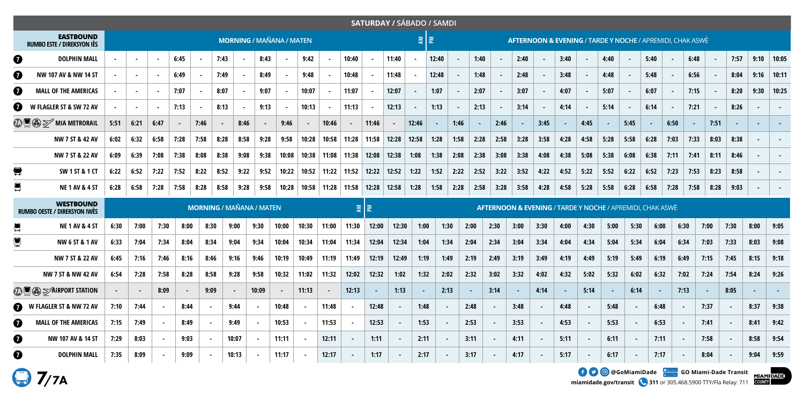|                       |                                                            |                                       |                |        |        |        |                |                |        |        |        |                 |                         | SATURDAY / SÁBADO / SAMDI                                            |        |                  |       |                |        |        |      |                |      |        |                                                                      |      |        |      |      |      |        |      |        |
|-----------------------|------------------------------------------------------------|---------------------------------------|----------------|--------|--------|--------|----------------|----------------|--------|--------|--------|-----------------|-------------------------|----------------------------------------------------------------------|--------|------------------|-------|----------------|--------|--------|------|----------------|------|--------|----------------------------------------------------------------------|------|--------|------|------|------|--------|------|--------|
|                       | <b>EASTBOUND</b><br><b>RUMBO ESTE / DIREKSYON IÈS</b>      | <b>MORNING / MAÑANA / MATEN</b>       |                |        |        |        |                |                |        |        |        |                 |                         |                                                                      |        | $\sum_{i=1}^{n}$ |       |                |        |        |      |                |      |        | <b>AFTERNOON &amp; EVENING / TARDE Y NOCHE / APREMIDI, CHAK ASWÈ</b> |      |        |      |      |      |        |      |        |
| $\boldsymbol{v}$      | <b>DOLPHIN MALL</b>                                        |                                       | $\sim$         | $\sim$ | 6:45   | $\sim$ | 7:43           | $\sim$         | 8:43   | $\sim$ | 9:42   | $\sim$          | 10:40                   |                                                                      | 11:40  |                  | 12:40 |                | 1:40   |        | 2:40 |                | 3:40 |        | 4:40                                                                 |      | 5:40   |      | 6:48 |      | 7:57   | 9:10 | 10:05  |
| $\boldsymbol{\Theta}$ | NW 107 AV & NW 14 ST                                       |                                       | $\blacksquare$ |        | 6:49   |        | 7:49           |                | 8:49   |        | 9:48   |                 | 10:48                   |                                                                      | 11:48  |                  | 12:48 |                | 1:48   |        | 2:48 |                | 3:48 |        | 4:48                                                                 |      | 5:48   |      | 6:56 |      | 8:04   | 9:16 | 10:11  |
| $\boldsymbol{0}$      | <b>MALL OF THE AMERICAS</b>                                |                                       | $\sim$         |        | 7:07   |        | 8:07           |                | 9:07   |        | 10:07  |                 | 11:07                   |                                                                      | 12:07  |                  | 1:07  |                | 2:07   |        | 3:07 |                | 4:07 |        | 5:07                                                                 |      | 6:07   |      | 7:15 |      | 8:20   | 9:30 | 10:25  |
| ❼                     | W FLAGLER ST & SW 72 AV                                    |                                       | $\sim$         |        | 7:13   |        | 8:13           | $\sim$         | 9:13   | $\sim$ | 10:13  |                 | 11:13                   |                                                                      | 12:13  |                  | 1:13  | $\blacksquare$ | 2:13   |        | 3:14 | $\sim$         | 4:14 | $\sim$ | 5:14                                                                 |      | 6:14   |      | 7:21 |      | 8:26   |      | $\sim$ |
|                       | $\mathcal{D} \mathbf{Q} \otimes \mathcal{D}$ mia metrorail | 5:51                                  | 6:21           | 6:47   | $\sim$ | 7:46   | $\sim$         | 8:46           | $\sim$ | 9:46   |        | 10:46           |                         | 11:46                                                                |        | 12:46            |       | 1:46           |        | 2:46   |      | 3:45           |      | 4:45   |                                                                      | 5:45 |        | 6:50 |      | 7:51 |        |      |        |
|                       | NW 7 ST & 42 AV                                            | 6:02                                  | 6:32           | 6:58   | 7:28   | 7:58   | 8:28           | 8:58           | 9:28   | 9:58   | 10:28  | 10:58           | 11:28                   | 11:58                                                                | 12:28  | 12:58            | 1:28  | 1:58           | 2:28   | 2:58   | 3:28 | 3:58           | 4:28 | 4:58   | 5:28                                                                 | 5:58 | 6:28   | 7:03 | 7:33 | 8:03 | 8:38   |      |        |
|                       | NW 7 ST & 22 AV                                            | 6:09                                  | 6:39           | 7:08   | 7:38   | 8:08   | 8:38           | 9:08           | 9:38   | 10:08  | 10:38  | 11:08           | 11:38                   | 12:08                                                                | 12:38  | 1:08             | 1:38  | 2:08           | 2:38   | 3:08   | 3:38 | 4:08           | 4:38 | 5:08   | 5:38                                                                 | 6:08 | 6:38   | 7:11 | 7:41 | 8:11 | 8:46   |      |        |
| $\blacksquare$        | SW 1 ST & 1 CT                                             | 6:22                                  | 6:52           | 7:22   | 7:52   | 8:22   | 8:52           | 9:22           | 9:52   | 10:22  |        | $10:52$   11:22 | 11:52                   | 12:22                                                                | 12:52  | 1:22             | 1:52  | 2:22           | 2:52   | 3:22   | 3:52 | 4:22           | 4:52 | 5:22   | 5:52                                                                 | 6:22 | 6:52   | 7:23 | 7:53 | 8:23 | 8:58   |      |        |
| $\blacksquare$        | <b>NE 1 AV &amp; 4 ST</b>                                  | 6:28                                  | 6:58           | 7:28   | 7:58   | 8:28   | 8:58           | 9:28           | 9:58   | 10:28  |        |                 | $10:58$   11:28   11:58 | $12:28$ 12:58                                                        |        | 1:28             | 1:58  | 2:28           | 2:58   | 3:28   | 3:58 | 4:28           | 4:58 | 5:28   | 5:58                                                                 | 6:28 | 6:58   | 7:28 | 7:58 | 8:28 | 9:03   |      |        |
|                       | <b>WESTBOUND</b><br><b>RUMBO OESTE / DIREKSYON IWES</b>    | <b>MORNING / MAÑANA / MATEN</b><br>회회 |                |        |        |        |                |                |        |        |        |                 |                         | <b>AFTERNOON &amp; EVENING / TARDE Y NOCHE / APREMIDI, CHAK ASWÈ</b> |        |                  |       |                |        |        |      |                |      |        |                                                                      |      |        |      |      |      |        |      |        |
|                       | <b>NE 1 AV &amp; 4 ST</b>                                  | 6:30                                  | 7:00           | 7:30   | 8:00   |        | 8:30           | 9:00           | 9:30   | 10:00  | 10:30  | 11:00           | 11:30                   | 12:00                                                                | 12:30  | 1:00             |       | 1:30           | 2:00   | 2:30   | 3:00 | 3:30           | 4:00 | 4:30   | 5:00                                                                 | 5:30 | 6:00   |      | 6:30 | 7:00 | 7:30   | 8:00 | 9:05   |
|                       | <b>NW 6 ST &amp; 1 AV</b>                                  | 6:33                                  | 7:04           | 7:34   | 8:04   |        | 8:34           | 9:04           | 9:34   | 10:04  | 10:34  | 11:04           | 11:34                   | 12:04                                                                | 12:34  | 1:04             |       | 1:34           | 2:04   | 2:34   | 3:04 | 3:34           | 4:04 | 4:34   | 5:04                                                                 | 5:34 | 6:04   |      | 6:34 | 7:03 | 7:33   | 8:03 | 9:08   |
|                       | NW 7 ST & 22 AV                                            | 6:45                                  | 7:16           | 7:46   | 8:16   |        | 8:46           | 9:16           | 9:46   | 10:19  | 10:49  | 11:19           | 11:49                   | 12:19                                                                | 12:49  | 1:19             |       | 1:49           | 2:19   | 2:49   | 3:19 | 3:49           | 4:19 | 4:49   | 5:19                                                                 | 5:49 | 6:19   |      | 6:49 | 7:15 | 7:45   | 8:15 | 9:18   |
|                       | NW 7 ST & NW 42 AV                                         | 6:54                                  | 7:28           | 7:58   | 8:28   |        | 8:58           | 9:28           | 9:58   | 10:32  | 11:02  | 11:32           | 12:02                   | 12:32                                                                | 1:02   | 1:32             |       | 2:02           | 2:32   | 3:02   | 3:32 | 4:02           | 4:32 | 5:02   | 5:32                                                                 | 6:02 | 6:32   |      | 7:02 | 7:24 | 7:54   | 8:24 | 9:26   |
|                       | <b>TAL S</b> > AIRPORT STATION                             |                                       |                | 8:09   |        |        | 9:09           | $\blacksquare$ | 10:09  |        | 11:13  | $\blacksquare$  | 12:13                   |                                                                      | 1:13   |                  |       | 2:13           | $\sim$ | 3:14   |      | 4:14           |      | 5:14   |                                                                      | 6:14 | $\sim$ |      | 7:13 |      | 8:05   |      |        |
| $\bullet$             | W FLAGLER ST & NW 72 AV                                    | 7:10                                  | 7:44           |        | 8:44   |        | $\sim$         | 9:44           |        | 10:48  | $\sim$ | 11:48           |                         | 12:48                                                                | $\sim$ | 1:48             |       |                | 2:48   | $\sim$ | 3:48 | $\blacksquare$ | 4:48 |        | 5:48                                                                 |      | 6:48   |      |      | 7:37 | $\sim$ | 8:37 | 9:38   |
| $\boldsymbol{0}$      | <b>MALL OF THE AMERICAS</b>                                | 7:15                                  | 7:49           |        | 8:49   |        |                | 9:49           |        | 10:53  |        | 11:53           |                         | 12:53                                                                |        | 1:53             |       |                | 2:53   |        | 3:53 |                | 4:53 |        | 5:53                                                                 |      | 6:53   |      |      | 7:41 |        | 8:41 | 9:42   |
| $\boldsymbol{0}$      | NW 107 AV & 14 ST                                          | 7:29                                  | 8:03           |        | 9:03   |        | $\blacksquare$ | 10:07          |        | 11:11  | $\sim$ | 12:11           |                         | 1:11                                                                 |        | 2:11             |       |                | 3:11   | $\sim$ | 4:11 |                | 5:11 |        | 6:11                                                                 |      | 7:11   |      |      | 7:58 |        | 8:58 | 9:54   |
| $\boldsymbol{0}$      | <b>DOLPHIN MALL</b>                                        | 7:35                                  | 8:09           |        | 9:09   |        |                | 10:13          |        | 11:17  |        | 12:17           |                         | 1:17                                                                 |        | 2:17             |       |                | 3:17   |        | 4:17 |                | 5:17 |        | 6:17                                                                 |      | 7:17   |      |      | 8:04 |        | 9:04 | 9:59   |